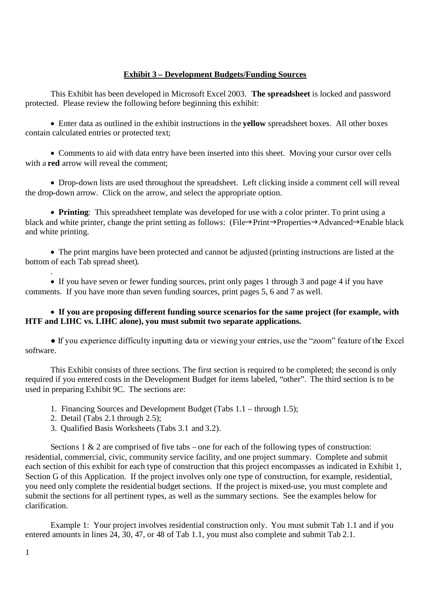# **Exhibit 3 – Development Budgets/Funding Sources**

This Exhibit has been developed in Microsoft Excel 2003. **The spreadsheet** is locked and password protected. Please review the following before beginning this exhibit:

Enter data as outlined in the exhibit instructions in the **yellow** spreadsheet boxes. All other boxes contain calculated entries or protected text;

• Comments to aid with data entry have been inserted into this sheet. Moving your cursor over cells with a **red** arrow will reveal the comment:

• Drop-down lists are used throughout the spreadsheet. Left clicking inside a comment cell will reveal the drop-down arrow. Click on the arrow, and select the appropriate option.

**Printing**: This spreadsheet template was developed for use with a color printer. To print using a black and white printer, change the print setting as follows: (File $\rightarrow$ Print $\rightarrow$ Properties $\rightarrow$ Advanced $\rightarrow$ Enable black and white printing.

The print margins have been protected and cannot be adjusted (printing instructions are listed at the bottom of each Tab spread sheet).

If you have seven or fewer funding sources, print only pages 1 through 3 and page 4 if you have comments. If you have more than seven funding sources, print pages 5, 6 and 7 as well.

## **If you are proposing different funding source scenarios for the same project (for example, with HTF and LIHC vs. LIHC alone), you must submit two separate applications.**

• If you experience difficulty inputting data or viewing your entries, use the "zoom" feature of the Excel software.

This Exhibit consists of three sections. The first section is required to be completed; the second is only required if you entered costs in the Development Budget for items labeled, "other". The third section is to be used in preparing Exhibit 9C. The sections are:

- 1. Financing Sources and Development Budget (Tabs 1.1 through 1.5);
- 2. Detail (Tabs 2.1 through 2.5);
- 3. Qualified Basis Worksheets (Tabs 3.1 and 3.2).

Sections 1  $\&$  2 are comprised of five tabs – one for each of the following types of construction: residential, commercial, civic, community service facility, and one project summary. Complete and submit each section of this exhibit for each type of construction that this project encompasses as indicated in Exhibit 1, Section G of this Application. If the project involves only one type of construction, for example, residential, you need only complete the residential budget sections. If the project is mixed-use, you must complete and submit the sections for all pertinent types, as well as the summary sections. See the examples below for clarification.

Example 1: Your project involves residential construction only. You must submit Tab 1.1 and if you entered amounts in lines 24, 30, 47, or 48 of Tab 1.1, you must also complete and submit Tab 2.1.

.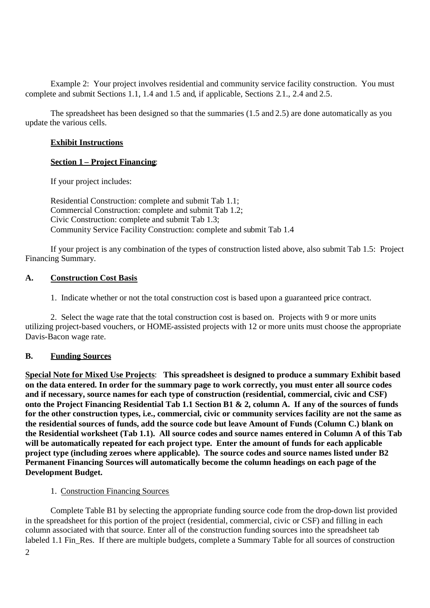Example 2: Your project involves residential and community service facility construction. You must complete and submit Sections 1.1, 1.4 and 1.5 and, if applicable, Sections 2.1., 2.4 and 2.5.

The spreadsheet has been designed so that the summaries (1.5 and 2.5) are done automatically as you update the various cells.

### **Exhibit Instructions**

### **Section 1 – Project Financing**:

If your project includes:

Residential Construction: complete and submit Tab 1.1; Commercial Construction: complete and submit Tab 1.2; Civic Construction: complete and submit Tab 1.3; Community Service Facility Construction: complete and submit Tab 1.4

If your project is any combination of the types of construction listed above, also submit Tab 1.5: Project Financing Summary.

### **A. Construction Cost Basis**

1. Indicate whether or not the total construction cost is based upon a guaranteed price contract.

2. Select the wage rate that the total construction cost is based on. Projects with 9 or more units utilizing project-based vouchers, or HOME-assisted projects with 12 or more units must choose the appropriate Davis-Bacon wage rate.

#### **B. Funding Sources**

**Special Note for Mixed Use Projects**: **This spreadsheet is designed to produce a summary Exhibit based on the data entered. In order for the summary page to work correctly, you must enter all source codes and if necessary, source names for each type of construction (residential, commercial, civic and CSF) onto the Project Financing Residential Tab 1.1 Section B1 & 2, column A. If any of the sources of funds for the other construction types, i.e., commercial, civic or community services facility are not the same as the residential sources of funds, add the source code but leave Amount of Funds (Column C.) blank on the Residential worksheet (Tab 1.1). All source codes and source names entered in Column A of this Tab will be automatically repeated for each project type. Enter the amount of funds for each applicable project type (including zeroes where applicable). The source codes and source names listed under B2 Permanent Financing Sources will automatically become the column headings on each page of the Development Budget.**

#### 1. Construction Financing Sources

Complete Table B1 by selecting the appropriate funding source code from the drop-down list provided in the spreadsheet for this portion of the project (residential, commercial, civic or CSF) and filling in each column associated with that source. Enter all of the construction funding sources into the spreadsheet tab labeled 1.1 Fin\_Res. If there are multiple budgets, complete a Summary Table for all sources of construction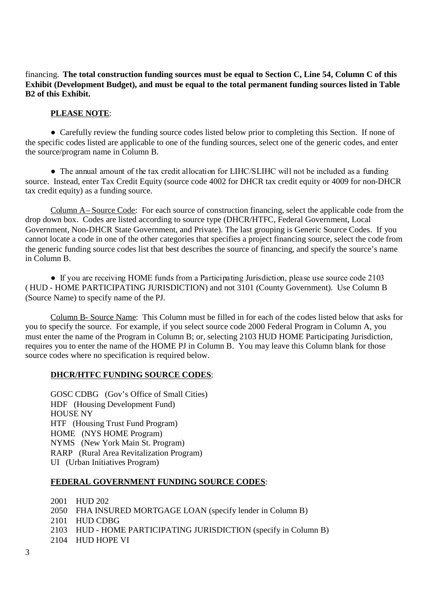financing. **The total construction funding sources must be equal to Section C, Line 54, Column C of this Exhibit (Development Budget), and must be equal to the total permanent funding sources listed in Table B2 of this Exhibit.**

### **PLEASE NOTE**:

• Carefully review the funding source codes listed below prior to completing this Section. If none of the specific codes listed are applicable to one of the funding sources, select one of the generic codes, and enter the source/program name in Column B.

●The annual amount of the tax credit allocation for LIHC/SLIHC will not be included as a funding source. Instead, enter Tax Credit Equity (source code 4002 for DHCR tax credit equity or 4009 for non-DHCR tax credit equity) as a funding source.

Column A– Source Code: For each source of construction financing, select the applicable code from the drop down box. Codes are listed according to source type (DHCR/HTFC, Federal Government, Local Government, Non-DHCR State Government, and Private). The last grouping is Generic Source Codes. If you cannot locate a code in one of the other categories that specifies a project financing source, select the code from the generic funding source codes list that best describes the source of financing, and specify the source's name in Column B.

• If you are receiving HOME funds from a Participating Jurisdiction, please use source code 2103 ( HUD - HOME PARTICIPATING JURISDICTION) and not 3101 (County Government). Use Column B (Source Name) to specify name of the PJ.

Column B- Source Name: This Column must be filled in for each of the codes listed below that asks for you to specify the source. For example, if you select source code 2000 Federal Program in Column A, you must enter the name of the Program in Column B; or, selecting 2103 HUD HOME Participating Jurisdiction, requires you to enter the name of the HOME PJ in Column B. You may leave this Column blank for those source codes where no specification is required below.

## **DHCR/HTFC FUNDING SOURCE CODES**:

GOSC CDBG (Gov's Office of Small Cities) HDF (Housing Development Fund) HOUSE NY HTF (Housing Trust Fund Program) HOME (NYS HOME Program) NYMS (New York Main St. Program) RARP (Rural Area Revitalization Program) UI (Urban Initiatives Program)

#### **FEDERAL GOVERNMENT FUNDING SOURCE CODES**:

2001 HUD 202 2050 FHA INSURED MORTGAGE LOAN (specify lender in Column B) 2101 HUD CDBG 2103 HUD - HOME PARTICIPATING JURISDICTION (specify in Column B) 2104 HUD HOPE VI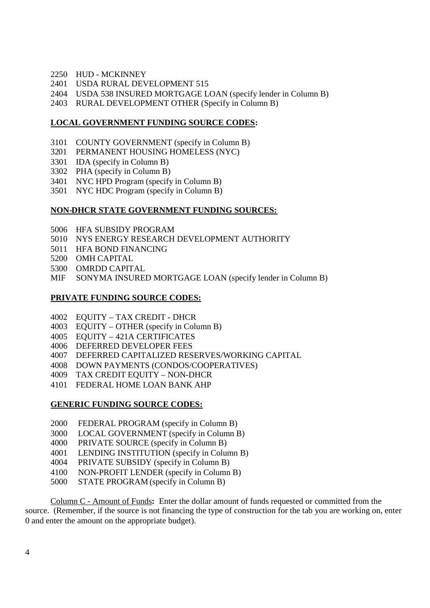- HUD MCKINNEY
- USDA RURAL DEVELOPMENT 515
- USDA 538 INSURED MORTGAGE LOAN (specify lender in Column B)
- RURAL DEVELOPMENT OTHER (Specify in Column B)

# **LOCAL GOVERNMENT FUNDING SOURCE CODES:**

- COUNTY GOVERNMENT (specify in Column B)
- PERMANENT HOUSING HOMELESS (NYC)
- IDA (specify in Column B)
- PHA (specify in Column B)
- NYC HPD Program (specify in Column B)
- NYC HDC Program (specify in Column B)

# **NON-DHCR STATE GOVERNMENT FUNDING SOURCES:**

- HFA SUBSIDY PROGRAM
- NYS ENERGY RESEARCH DEVELOPMENT AUTHORITY
- HFA BOND FINANCING
- OMH CAPITAL
- 5300 OMRDD CAPITAL
- MIF SONYMA INSURED MORTGAGE LOAN (specify lender in Column B)

# **PRIVATE FUNDING SOURCE CODES:**

- EQUITY TAX CREDIT DHCR
- EQUITY OTHER (specify in Column B)
- EQUITY 421A CERTIFICATES
- DEFERRED DEVELOPER FEES
- DEFERRED CAPITALIZED RESERVES/WORKING CAPITAL
- DOWN PAYMENTS (CONDOS/COOPERATIVES)
- TAX CREDIT EQUITY NON-DHCR
- FEDERAL HOME LOAN BANK AHP

## **GENERIC FUNDING SOURCE CODES:**

- FEDERAL PROGRAM (specify in Column B)
- LOCAL GOVERNMENT (specify in Column B)
- PRIVATE SOURCE (specify in Column B)
- LENDING INSTITUTION (specify in Column B)
- PRIVATE SUBSIDY (specify in Column B)
- NON-PROFIT LENDER (specify in Column B)
- STATE PROGRAM (specify in Column B)

Column C - Amount of Funds**:** Enter the dollar amount of funds requested or committed from the source. (Remember, if the source is not financing the type of construction for the tab you are working on, enter 0 and enter the amount on the appropriate budget).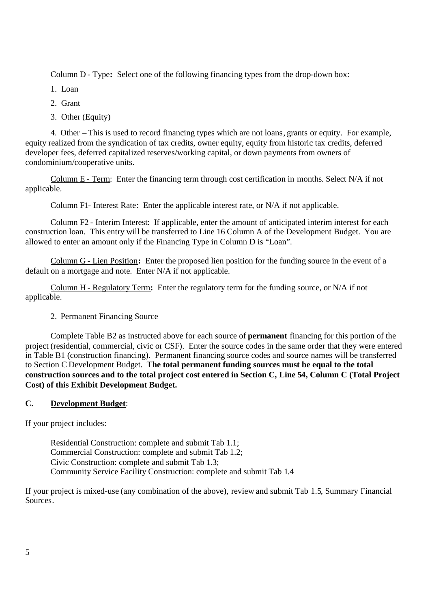Column D - Type**:** Select one of the following financing types from the drop-down box:

1. Loan

2. Grant

3. Other (Equity)

4. Other – This is used to record financing types which are not loans, grants or equity. For example, equity realized from the syndication of tax credits, owner equity, equity from historic tax credits, deferred developer fees, deferred capitalized reserves/working capital, or down payments from owners of condominium/cooperative units.

Column E - Term: Enter the financing term through cost certification in months. Select N/A if not applicable.

Column F1- Interest Rate: Enter the applicable interest rate, or N/A if not applicable.

Column F2 - Interim Interest: If applicable, enter the amount of anticipated interim interest for each construction loan. This entry will be transferred to Line 16 Column A of the Development Budget. You are allowed to enter an amount only if the Financing Type in Column D is "Loan".

Column G - Lien Position**:** Enter the proposed lien position for the funding source in the event of a default on a mortgage and note. Enter N/A if not applicable.

Column H - Regulatory Term**:** Enter the regulatory term for the funding source, or N/A if not applicable.

# 2. Permanent Financing Source

Complete Table B2 as instructed above for each source of **permanent** financing for this portion of the project (residential, commercial, civic or CSF). Enter the source codes in the same order that they were entered in Table B1 (construction financing). Permanent financing source codes and source names will be transferred to Section C Development Budget. **The total permanent funding sources must be equal to the total construction sources and to the total project cost entered in Section C, Line 54, Column C (Total Project Cost) of this Exhibit Development Budget.**

# **C. Development Budget**:

If your project includes:

Residential Construction: complete and submit Tab 1.1; Commercial Construction: complete and submit Tab 1.2; Civic Construction: complete and submit Tab 1.3; Community Service Facility Construction: complete and submit Tab 1.4

If your project is mixed-use (any combination of the above), review and submit Tab 1.5, Summary Financial Sources.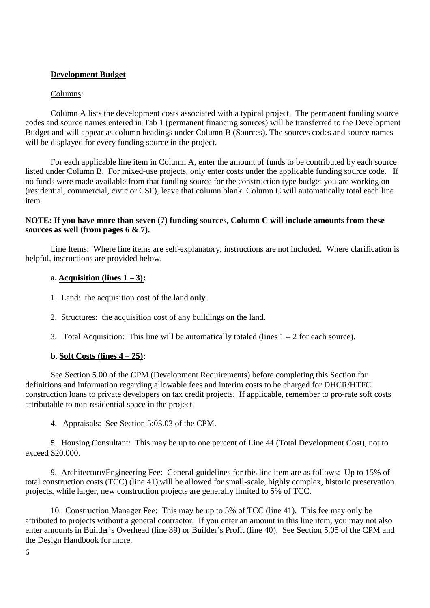# **Development Budget**

### Columns:

Column A lists the development costs associated with a typical project. The permanent funding source codes and source names entered in Tab 1 (permanent financing sources) will be transferred to the Development Budget and will appear as column headings under Column B (Sources). The sources codes and source names will be displayed for every funding source in the project.

For each applicable line item in Column A, enter the amount of funds to be contributed by each source listed under Column B. For mixed-use projects, only enter costs under the applicable funding source code. If no funds were made available from that funding source for the construction type budget you are working on (residential, commercial, civic or CSF), leave that column blank. Column C will automatically total each line item.

### **NOTE: If you have more than seven (7) funding sources, Column C will include amounts from these sources as well (from pages 6 & 7).**

Line Items: Where line items are self-explanatory, instructions are not included. Where clarification is helpful, instructions are provided below.

### **a. Acquisition** (lines  $1 - 3$ ):

- 1. Land: the acquisition cost of the land **only**.
- 2. Structures: the acquisition cost of any buildings on the land.
- 3. Total Acquisition: This line will be automatically totaled (lines  $1 2$  for each source).

## **b. Soft Costs (lines 4 – 25):**

See Section 5.00 of the CPM (Development Requirements) before completing this Section for definitions and information regarding allowable fees and interim costs to be charged for DHCR/HTFC construction loans to private developers on tax credit projects. If applicable, remember to pro-rate soft costs attributable to non-residential space in the project.

4. Appraisals: See Section 5:03.03 of the CPM.

5. Housing Consultant: This may be up to one percent of Line 44 (Total Development Cost), not to exceed \$20,000.

9. Architecture/Engineering Fee: General guidelines for this line item are as follows: Up to 15% of total construction costs (TCC) (line 41) will be allowed for small-scale, highly complex, historic preservation projects, while larger, new construction projects are generally limited to 5% of TCC.

10. Construction Manager Fee: This may be up to 5% of TCC (line 41). This fee may only be attributed to projects without a general contractor. If you enter an amount in this line item, you may not also enter amounts in Builder's Overhead (line 39) or Builder's Profit (line 40). See Section 5.05 of the CPM and the Design Handbook for more.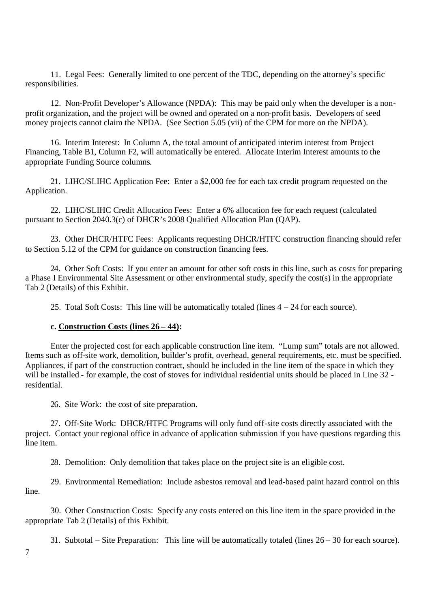11. Legal Fees: Generally limited to one percent of the TDC, depending on the attorney's specific responsibilities.

12. Non-Profit Developer's Allowance (NPDA): This may be paid only when the developer is a nonprofit organization, and the project will be owned and operated on a non-profit basis. Developers of seed money projects cannot claim the NPDA. (See Section 5.05 (vii) of the CPM for more on the NPDA).

16. Interim Interest: In Column A, the total amount of anticipated interim interest from Project Financing, Table B1, Column F2, will automatically be entered. Allocate Interim Interest amounts to the appropriate Funding Source columns.

21. LIHC/SLIHC Application Fee: Enter a \$2,000 fee for each tax credit program requested on the Application.

22. LIHC/SLIHC Credit Allocation Fees: Enter a 6% allocation fee for each request (calculated pursuant to Section 2040.3(c) of DHCR's 2008 Qualified Allocation Plan (QAP).

23. Other DHCR/HTFC Fees: Applicants requesting DHCR/HTFC construction financing should refer to Section 5.12 of the CPM for guidance on construction financing fees.

24. Other Soft Costs: If you enter an amount for other soft costs in this line, such as costs for preparing a Phase I Environmental Site Assessment or other environmental study, specify the cost(s) in the appropriate Tab 2 (Details) of this Exhibit.

25. Total Soft Costs: This line will be automatically totaled (lines  $4 - 24$  for each source).

#### **c. Construction Costs (lines 26 – 44):**

Enter the projected cost for each applicable construction line item. "Lump sum" totals are not allowed. Items such as off-site work, demolition, builder's profit, overhead, general requirements, etc. must be specified. Appliances, if part of the construction contract, should be included in the line item of the space in which they will be installed - for example, the cost of stoves for individual residential units should be placed in Line 32 residential.

26. Site Work: the cost of site preparation.

27. Off-Site Work: DHCR/HTFC Programs will only fund off-site costs directly associated with the project. Contact your regional office in advance of application submission if you have questions regarding this line item.

28. Demolition: Only demolition that takes place on the project site is an eligible cost.

29. Environmental Remediation: Include asbestos removal and lead-based paint hazard control on this line.

30. Other Construction Costs: Specify any costs entered on this line item in the space provided in the appropriate Tab 2 (Details) of this Exhibit.

31. Subtotal – Site Preparation: This line will be automatically totaled (lines 26 – 30 for each source).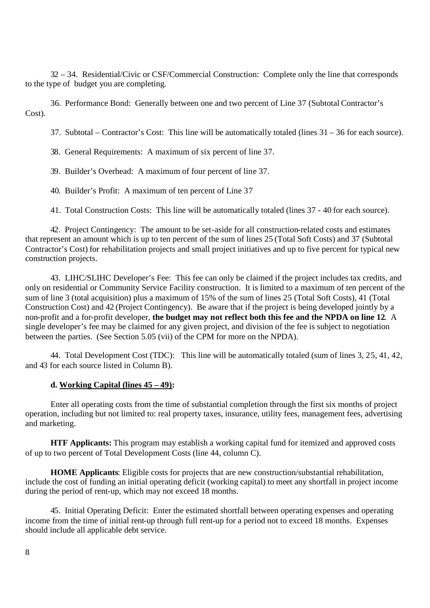32 – 34. Residential/Civic or CSF/Commercial Construction: Complete only the line that corresponds to the type of budget you are completing.

36. Performance Bond: Generally between one and two percent of Line 37 (Subtotal Contractor's Cost).

37. Subtotal – Contractor's Cost: This line will be automatically totaled (lines 31 – 36 for each source).

38. General Requirements: A maximum of six percent of line 37.

39. Builder's Overhead: A maximum of four percent of line 37.

40. Builder's Profit: A maximum of ten percent of Line 37

41. Total Construction Costs: This line will be automatically totaled (lines 37 - 40 for each source).

42. Project Contingency: The amount to be set-aside for all construction-related costs and estimates that represent an amount which is up to ten percent of the sum of lines 25 (Total Soft Costs) and 37 (Subtotal Contractor's Cost) for rehabilitation projects and small project initiatives and up to five percent for typical new construction projects.

43. LIHC/SLIHC Developer's Fee: This fee can only be claimed if the project includes tax credits, and only on residential or Community Service Facility construction. It is limited to a maximum of ten percent of the sum of line 3 (total acquisition) plus a maximum of 15% of the sum of lines 25 (Total Soft Costs), 41 (Total Construction Cost) and 42 (Project Contingency). Be aware that if the project is being developed jointly by a non-profit and a for-profit developer, **the budget may not reflect both this fee and the NPDA on line 12**. A single developer's fee may be claimed for any given project, and division of the fee is subject to negotiation between the parties. (See Section 5.05 (vii) of the CPM for more on the NPDA).

44. Total Development Cost (TDC): This line will be automatically totaled (sum of lines 3, 25, 41, 42, and 43 for each source listed in Column B).

#### **d. Working Capital (lines 45 – 49):**

Enter all operating costs from the time of substantial completion through the first six months of project operation, including but not limited to: real property taxes, insurance, utility fees, management fees, advertising and marketing.

**HTF Applicants:** This program may establish a working capital fund for itemized and approved costs of up to two percent of Total Development Costs (line 44, column C).

**HOME Applicants**: Eligible costs for projects that are new construction/substantial rehabilitation, include the cost of funding an initial operating deficit (working capital) to meet any shortfall in project income during the period of rent-up, which may not exceed 18 months.

45. Initial Operating Deficit: Enter the estimated shortfall between operating expenses and operating income from the time of initial rent-up through full rent-up for a period not to exceed 18 months. Expenses should include all applicable debt service.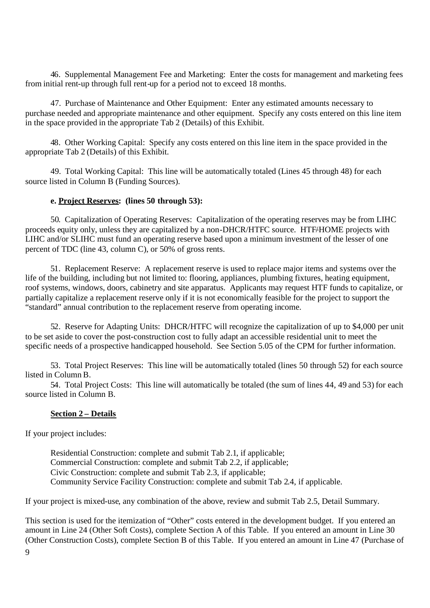46. Supplemental Management Fee and Marketing: Enter the costs for management and marketing fees from initial rent-up through full rent-up for a period not to exceed 18 months.

47. Purchase of Maintenance and Other Equipment: Enter any estimated amounts necessary to purchase needed and appropriate maintenance and other equipment. Specify any costs entered on this line item in the space provided in the appropriate Tab 2 (Details) of this Exhibit.

48. Other Working Capital: Specify any costs entered on this line item in the space provided in the appropriate Tab 2 (Details) of this Exhibit.

49. Total Working Capital: This line will be automatically totaled (Lines 45 through 48) for each source listed in Column B (Funding Sources).

## **e. Project Reserves: (lines 50 through 53):**

50. Capitalization of Operating Reserves: Capitalization of the operating reserves may be from LIHC proceeds equity only, unless they are capitalized by a non-DHCR/HTFC source. HTF/HOME projects with LIHC and/or SLIHC must fund an operating reserve based upon a minimum investment of the lesser of one percent of TDC (line 43, column C), or 50% of gross rents.

51. Replacement Reserve: A replacement reserve is used to replace major items and systems over the life of the building, including but not limited to: flooring, appliances, plumbing fixtures, heating equipment, roof systems, windows, doors, cabinetry and site apparatus. Applicants may request HTF funds to capitalize, or partially capitalize a replacement reserve only if it is not economically feasible for the project to support the "standard" annual contribution to the replacement reserve from operating income.

52. Reserve for Adapting Units: DHCR/HTFC will recognize the capitalization of up to \$4,000 per unit to be set aside to cover the post-construction cost to fully adapt an accessible residential unit to meet the specific needs of a prospective handicapped household. See Section 5.05 of the CPM for further information.

53. Total Project Reserves: This line will be automatically totaled (lines 50 through 52) for each source listed in Column B.

54. Total Project Costs: This line will automatically be totaled (the sum of lines 44, 49 and 53) for each source listed in Column B.

#### **Section 2 – Details**

If your project includes:

Residential Construction: complete and submit Tab 2.1, if applicable; Commercial Construction: complete and submit Tab 2.2, if applicable; Civic Construction: complete and submit Tab 2.3, if applicable; Community Service Facility Construction: complete and submit Tab 2.4, if applicable.

If your project is mixed-use, any combination of the above, review and submit Tab 2.5, Detail Summary.

This section is used for the itemization of "Other" costs entered in the development budget. If you entered an amount in Line 24 (Other Soft Costs), complete Section A of this Table. If you entered an amount in Line 30 (Other Construction Costs), complete Section B of this Table. If you entered an amount in Line 47 (Purchase of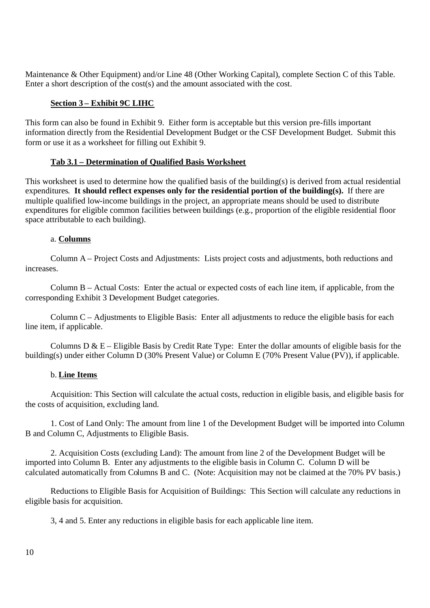Maintenance & Other Equipment) and/or Line 48 (Other Working Capital), complete Section C of this Table. Enter a short description of the cost(s) and the amount associated with the cost.

## **Section 3 – Exhibit 9C LIHC**

This form can also be found in Exhibit 9. Either form is acceptable but this version pre-fills important information directly from the Residential Development Budget or the CSF Development Budget. Submit this form or use it as a worksheet for filling out Exhibit 9.

# **Tab 3.1 – Determination of Qualified Basis Worksheet**

This worksheet is used to determine how the qualified basis of the building(s) is derived from actual residential expenditures. **It should reflect expenses only for the residential portion of the building(s).** If there are multiple qualified low-income buildings in the project, an appropriate means should be used to distribute expenditures for eligible common facilities between buildings (e.g., proportion of the eligible residential floor space attributable to each building).

# a. **Columns**

Column A – Project Costs and Adjustments: Lists project costs and adjustments, both reductions and increases.

Column B – Actual Costs: Enter the actual or expected costs of each line item, if applicable, from the corresponding Exhibit 3 Development Budget categories.

Column C – Adjustments to Eligible Basis: Enter all adjustments to reduce the eligible basis for each line item, if applicable.

Columns  $D \& E$  – Eligible Basis by Credit Rate Type: Enter the dollar amounts of eligible basis for the building(s) under either Column D (30% Present Value) or Column E (70% Present Value (PV)), if applicable.

## b. **Line Items**

Acquisition: This Section will calculate the actual costs, reduction in eligible basis, and eligible basis for the costs of acquisition, excluding land.

1. Cost of Land Only: The amount from line 1 of the Development Budget will be imported into Column B and Column C, Adjustments to Eligible Basis.

2. Acquisition Costs (excluding Land): The amount from line 2 of the Development Budget will be imported into Column B. Enter any adjustments to the eligible basis in Column C. Column D will be calculated automatically from Columns B and C. (Note: Acquisition may not be claimed at the 70% PV basis.)

Reductions to Eligible Basis for Acquisition of Buildings: This Section will calculate any reductions in eligible basis for acquisition.

3, 4 and 5. Enter any reductions in eligible basis for each applicable line item.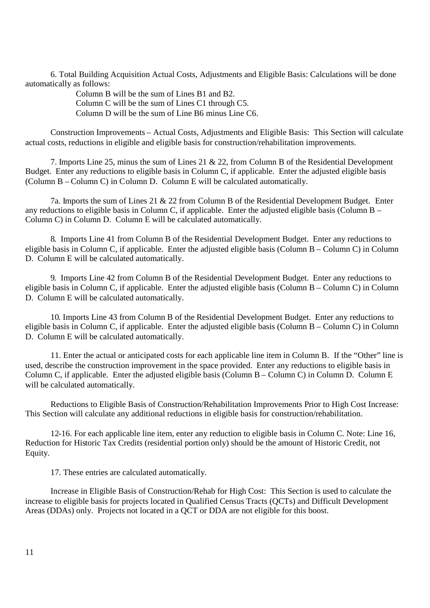6. Total Building Acquisition Actual Costs, Adjustments and Eligible Basis: Calculations will be done automatically as follows:

> Column B will be the sum of Lines B1 and B2. Column C will be the sum of Lines C1 through C5. Column D will be the sum of Line B6 minus Line C6.

Construction Improvements – Actual Costs, Adjustments and Eligible Basis: This Section will calculate actual costs, reductions in eligible and eligible basis for construction/rehabilitation improvements.

7. Imports Line 25, minus the sum of Lines 21 & 22, from Column B of the Residential Development Budget. Enter any reductions to eligible basis in Column C, if applicable. Enter the adjusted eligible basis (Column B – Column C) in Column D. Column E will be calculated automatically.

7a. Imports the sum of Lines 21 & 22 from Column B of the Residential Development Budget. Enter any reductions to eligible basis in Column C, if applicable. Enter the adjusted eligible basis (Column B – Column C) in Column D. Column E will be calculated automatically.

8. Imports Line 41 from Column B of the Residential Development Budget. Enter any reductions to eligible basis in Column C, if applicable. Enter the adjusted eligible basis (Column B – Column C) in Column D. Column E will be calculated automatically.

9. Imports Line 42 from Column B of the Residential Development Budget. Enter any reductions to eligible basis in Column C, if applicable. Enter the adjusted eligible basis (Column B – Column C) in Column D. Column E will be calculated automatically.

10. Imports Line 43 from Column B of the Residential Development Budget. Enter any reductions to eligible basis in Column C, if applicable. Enter the adjusted eligible basis (Column B – Column C) in Column D. Column E will be calculated automatically.

11. Enter the actual or anticipated costs for each applicable line item in Column B. If the "Other" line is used, describe the construction improvement in the space provided. Enter any reductions to eligible basis in Column C, if applicable. Enter the adjusted eligible basis (Column B – Column C) in Column D. Column E will be calculated automatically.

Reductions to Eligible Basis of Construction/Rehabilitation Improvements Prior to High Cost Increase: This Section will calculate any additional reductions in eligible basis for construction/rehabilitation.

12-16. For each applicable line item, enter any reduction to eligible basis in Column C. Note: Line 16, Reduction for Historic Tax Credits (residential portion only) should be the amount of Historic Credit, not Equity.

17. These entries are calculated automatically.

Increase in Eligible Basis of Construction/Rehab for High Cost: This Section is used to calculate the increase to eligible basis for projects located in Qualified Census Tracts (QCTs) and Difficult Development Areas (DDAs) only. Projects not located in a QCT or DDA are not eligible for this boost.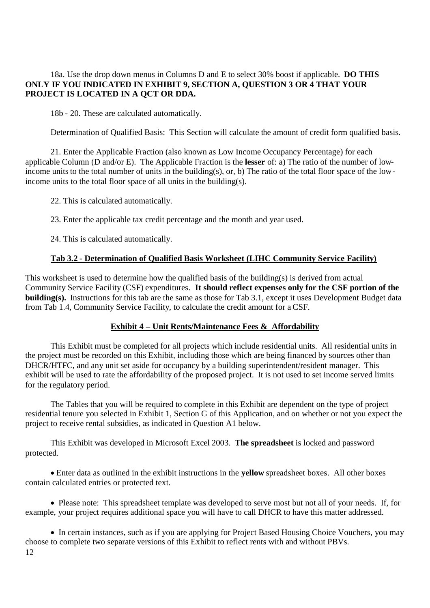## 18a. Use the drop down menus in Columns D and E to select 30% boost if applicable. **DO THIS ONLY IF YOU INDICATED IN EXHIBIT 9, SECTION A, QUESTION 3 OR 4 THAT YOUR PROJECT IS LOCATED IN A QCT OR DDA.**

18b - 20. These are calculated automatically.

Determination of Qualified Basis: This Section will calculate the amount of credit form qualified basis.

21. Enter the Applicable Fraction (also known as Low Income Occupancy Percentage) for each applicable Column (D and/or E). The Applicable Fraction is the **lesser** of: a) The ratio of the number of lowincome units to the total number of units in the building(s), or, b) The ratio of the total floor space of the lowincome units to the total floor space of all units in the building(s).

22. This is calculated automatically.

23. Enter the applicable tax credit percentage and the month and year used.

24. This is calculated automatically.

### **Tab 3.2 - Determination of Qualified Basis Worksheet (LIHC Community Service Facility)**

This worksheet is used to determine how the qualified basis of the building(s) is derived from actual Community Service Facility (CSF) expenditures. **It should reflect expenses only for the CSF portion of the building(s).** Instructions for this tab are the same as those for Tab 3.1, except it uses Development Budget data from Tab 1.4, Community Service Facility, to calculate the credit amount for a CSF.

## **Exhibit 4 – Unit Rents/Maintenance Fees & Affordability**

This Exhibit must be completed for all projects which include residential units. All residential units in the project must be recorded on this Exhibit, including those which are being financed by sources other than DHCR/HTFC, and any unit set aside for occupancy by a building superintendent/resident manager. This exhibit will be used to rate the affordability of the proposed project. It is not used to set income served limits for the regulatory period.

The Tables that you will be required to complete in this Exhibit are dependent on the type of project residential tenure you selected in Exhibit 1, Section G of this Application, and on whether or not you expect the project to receive rental subsidies, as indicated in Question A1 below.

This Exhibit was developed in Microsoft Excel 2003. **The spreadsheet** is locked and password protected.

Enter data as outlined in the exhibit instructions in the **yellow** spreadsheet boxes. All other boxes contain calculated entries or protected text.

Please note: This spreadsheet template was developed to serve most but not all of your needs. If, for example, your project requires additional space you will have to call DHCR to have this matter addressed.

12 • In certain instances, such as if you are applying for Project Based Housing Choice Vouchers, you may choose to complete two separate versions of this Exhibit to reflect rents with and without PBVs.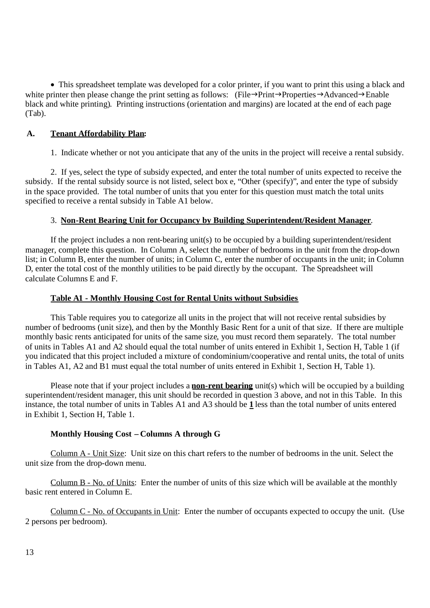• This spreadsheet template was developed for a color printer, if you want to print this using a black and white printer then please change the print setting as follows: (File $\rightarrow$ Print $\rightarrow$ Properties $\rightarrow$ Advanced $\rightarrow$ Enable black and white printing). Printing instructions (orientation and margins) are located at the end of each page (Tab).

## **A. Tenant Affordability Plan:**

1. Indicate whether or not you anticipate that any of the units in the project will receive a rental subsidy.

2. If yes, select the type of subsidy expected, and enter the total number of units expected to receive the subsidy. If the rental subsidy source is not listed, select box e, "Other (specify)", and enter the type of subsidy in the space provided. The total number of units that you enter for this question must match the total units specified to receive a rental subsidy in Table A1 below.

# 3. **Non-Rent Bearing Unit for Occupancy by Building Superintendent/Resident Manager**.

If the project includes a non rent-bearing unit(s) to be occupied by a building superintendent/resident manager, complete this question. In Column A, select the number of bedrooms in the unit from the drop-down list; in Column B, enter the number of units; in Column C, enter the number of occupants in the unit; in Column D, enter the total cost of the monthly utilities to be paid directly by the occupant. The Spreadsheet will calculate Columns E and F.

## **Table A1 - Monthly Housing Cost for Rental Units without Subsidies**

This Table requires you to categorize all units in the project that will not receive rental subsidies by number of bedrooms (unit size), and then by the Monthly Basic Rent for a unit of that size. If there are multiple monthly basic rents anticipated for units of the same size, you must record them separately. The total number of units in Tables A1 and A2 should equal the total number of units entered in Exhibit 1, Section H, Table 1 (if you indicated that this project included a mixture of condominium/cooperative and rental units, the total of units in Tables A1, A2 and B1 must equal the total number of units entered in Exhibit 1, Section H, Table 1).

Please note that if your project includes a **non-rent bearing** unit(s) which will be occupied by a building superintendent/resident manager, this unit should be recorded in question 3 above, and not in this Table. In this instance, the total number of units in Tables A1 and A3 should be **1** less than the total number of units entered in Exhibit 1, Section H, Table 1.

## **Monthly Housing Cost – Columns A through G**

Column A - Unit Size: Unit size on this chart refers to the number of bedrooms in the unit. Select the unit size from the drop-down menu.

Column B - No. of Units: Enter the number of units of this size which will be available at the monthly basic rent entered in Column E.

Column C - No. of Occupants in Unit: Enter the number of occupants expected to occupy the unit. (Use 2 persons per bedroom).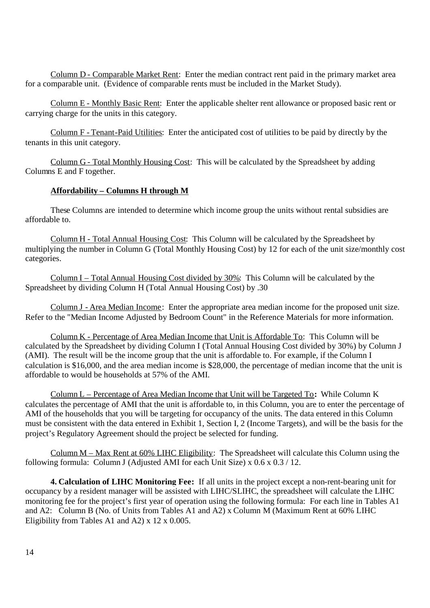Column D - Comparable Market Rent: Enter the median contract rent paid in the primary market area for a comparable unit. (Evidence of comparable rents must be included in the Market Study).

Column E - Monthly Basic Rent: Enter the applicable shelter rent allowance or proposed basic rent or carrying charge for the units in this category.

Column F - Tenant-Paid Utilities: Enter the anticipated cost of utilities to be paid by directly by the tenants in this unit category.

Column G - Total Monthly Housing Cost: This will be calculated by the Spreadsheet by adding Columns E and F together.

## **Affordability – Columns H through M**

These Columns are intended to determine which income group the units without rental subsidies are affordable to.

Column H - Total Annual Housing Cost: This Column will be calculated by the Spreadsheet by multiplying the number in Column G (Total Monthly Housing Cost) by 12 for each of the unit size/monthly cost categories.

Column I – Total Annual Housing Cost divided by 30%: This Column will be calculated by the Spreadsheet by dividing Column H (Total Annual Housing Cost) by .30

Column J - Area Median Income: Enter the appropriate area median income for the proposed unit size. Refer to the "Median Income Adjusted by Bedroom Count" in the Reference Materials for more information.

Column K - Percentage of Area Median Income that Unit is Affordable To: This Column will be calculated by the Spreadsheet by dividing Column I (Total Annual Housing Cost divided by 30%) by Column J (AMI). The result will be the income group that the unit is affordable to. For example, if the Column I calculation is \$16,000, and the area median income is \$28,000, the percentage of median income that the unit is affordable to would be households at 57% of the AMI.

Column L – Percentage of Area Median Income that Unit will be Targeted To**:** While Column K calculates the percentage of AMI that the unit is affordable to, in this Column, you are to enter the percentage of AMI of the households that you will be targeting for occupancy of the units. The data entered in this Column must be consistent with the data entered in Exhibit 1, Section I, 2 (Income Targets), and will be the basis for the project's Regulatory Agreement should the project be selected for funding.

Column  $M$  – Max Rent at 60% LIHC Eligibility: The Spreadsheet will calculate this Column using the following formula: Column J (Adjusted AMI for each Unit Size) x  $0.6 \times 0.3 / 12$ .

**4. Calculation of LIHC Monitoring Fee:** If all units in the project except a non-rent-bearing unit for occupancy by a resident manager will be assisted with LIHC/SLIHC, the spreadsheet will calculate the LIHC monitoring fee for the project's first year of operation using the following formula: For each line in Tables A1 and A2: Column B (No. of Units from Tables A1 and A2) x Column M (Maximum Rent at 60% LIHC Eligibility from Tables A1 and A2) x 12 x 0.005.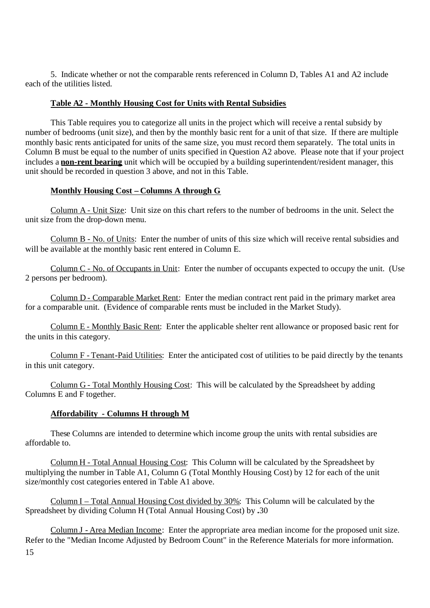5. Indicate whether or not the comparable rents referenced in Column D, Tables A1 and A2 include each of the utilities listed.

## **Table A2 - Monthly Housing Cost for Units with Rental Subsidies**

This Table requires you to categorize all units in the project which will receive a rental subsidy by number of bedrooms (unit size), and then by the monthly basic rent for a unit of that size. If there are multiple monthly basic rents anticipated for units of the same size, you must record them separately. The total units in Column B must be equal to the number of units specified in Question A2 above. Please note that if your project includes a **non-rent bearing** unit which will be occupied by a building superintendent/resident manager, this unit should be recorded in question 3 above, and not in this Table.

#### **Monthly Housing Cost – Columns A through G**

Column A - Unit Size: Unit size on this chart refers to the number of bedrooms in the unit. Select the unit size from the drop-down menu.

Column B - No. of Units: Enter the number of units of this size which will receive rental subsidies and will be available at the monthly basic rent entered in Column E.

Column C - No. of Occupants in Unit: Enter the number of occupants expected to occupy the unit. (Use 2 persons per bedroom).

Column D - Comparable Market Rent: Enter the median contract rent paid in the primary market area for a comparable unit. (Evidence of comparable rents must be included in the Market Study).

Column E - Monthly Basic Rent: Enter the applicable shelter rent allowance or proposed basic rent for the units in this category.

Column F - Tenant-Paid Utilities: Enter the anticipated cost of utilities to be paid directly by the tenants in this unit category.

Column G - Total Monthly Housing Cost: This will be calculated by the Spreadsheet by adding Columns E and F together.

#### **Affordability - Columns H through M**

These Columns are intended to determine which income group the units with rental subsidies are affordable to.

Column H - Total Annual Housing Cost: This Column will be calculated by the Spreadsheet by multiplying the number in Table A1, Column G (Total Monthly Housing Cost) by 12 for each of the unit size/monthly cost categories entered in Table A1 above.

Column I – Total Annual Housing Cost divided by 30%: This Column will be calculated by the Spreadsheet by dividing Column H (Total Annual Housing Cost) by **.**30

15 Column J - Area Median Income: Enter the appropriate area median income for the proposed unit size. Refer to the "Median Income Adjusted by Bedroom Count" in the Reference Materials for more information.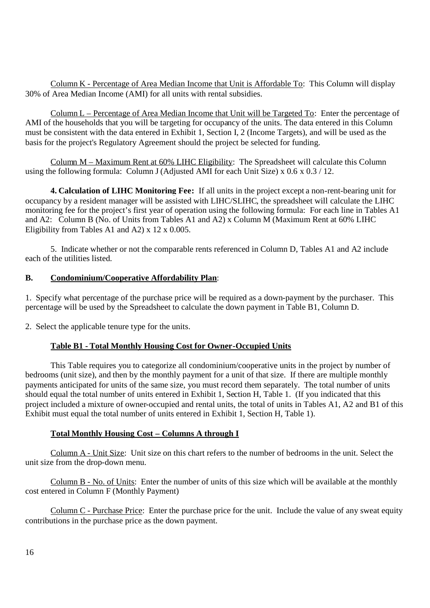Column K - Percentage of Area Median Income that Unit is Affordable To: This Column will display 30% of Area Median Income (AMI) for all units with rental subsidies.

Column L – Percentage of Area Median Income that Unit will be Targeted To: Enter the percentage of AMI of the households that you will be targeting for occupancy of the units. The data entered in this Column must be consistent with the data entered in Exhibit 1, Section I, 2 (Income Targets), and will be used as the basis for the project's Regulatory Agreement should the project be selected for funding.

Column M – Maximum Rent at 60% LIHC Eligibility: The Spreadsheet will calculate this Column using the following formula: Column J (Adjusted AMI for each Unit Size) x  $0.6 \times 0.3 / 12$ .

**4. Calculation of LIHC Monitoring Fee:** If all units in the project except a non-rent-bearing unit for occupancy by a resident manager will be assisted with LIHC/SLIHC, the spreadsheet will calculate the LIHC monitoring fee for the project's first year of operation using the following formula: For each line in Tables A1 and A2: Column B (No. of Units from Tables A1 and A2) x Column M (Maximum Rent at 60% LIHC Eligibility from Tables A1 and A2) x 12 x 0.005.

5. Indicate whether or not the comparable rents referenced in Column D, Tables A1 and A2 include each of the utilities listed.

# **B. Condominium/Cooperative Affordability Plan**:

1. Specify what percentage of the purchase price will be required as a down-payment by the purchaser. This percentage will be used by the Spreadsheet to calculate the down payment in Table B1, Column D.

2. Select the applicable tenure type for the units.

## **Table B1 - Total Monthly Housing Cost for Owner-Occupied Units**

This Table requires you to categorize all condominium/cooperative units in the project by number of bedrooms (unit size), and then by the monthly payment for a unit of that size. If there are multiple monthly payments anticipated for units of the same size, you must record them separately. The total number of units should equal the total number of units entered in Exhibit 1, Section H, Table 1. (If you indicated that this project included a mixture of owner-occupied and rental units, the total of units in Tables A1, A2 and B1 of this Exhibit must equal the total number of units entered in Exhibit 1, Section H, Table 1).

#### **Total Monthly Housing Cost – Columns A through I**

Column A - Unit Size: Unit size on this chart refers to the number of bedrooms in the unit. Select the unit size from the drop-down menu.

Column B - No. of Units: Enter the number of units of this size which will be available at the monthly cost entered in Column F (Monthly Payment)

Column C - Purchase Price: Enter the purchase price for the unit. Include the value of any sweat equity contributions in the purchase price as the down payment.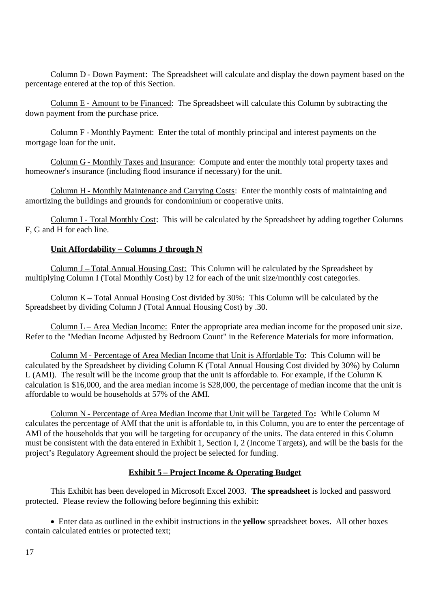Column D - Down Payment: The Spreadsheet will calculate and display the down payment based on the percentage entered at the top of this Section.

Column E - Amount to be Financed: The Spreadsheet will calculate this Column by subtracting the down payment from the purchase price.

Column F - Monthly Payment: Enter the total of monthly principal and interest payments on the mortgage loan for the unit.

Column G - Monthly Taxes and Insurance: Compute and enter the monthly total property taxes and homeowner's insurance (including flood insurance if necessary) for the unit.

Column H - Monthly Maintenance and Carrying Costs: Enter the monthly costs of maintaining and amortizing the buildings and grounds for condominium or cooperative units.

Column I - Total Monthly Cost: This will be calculated by the Spreadsheet by adding together Columns F, G and H for each line.

# **Unit Affordability – Columns J through N**

Column J – Total Annual Housing Cost: This Column will be calculated by the Spreadsheet by multiplying Column I (Total Monthly Cost) by 12 for each of the unit size/monthly cost categories.

Column K – Total Annual Housing Cost divided by 30%: This Column will be calculated by the Spreadsheet by dividing Column J (Total Annual Housing Cost) by .30.

Column L – Area Median Income: Enter the appropriate area median income for the proposed unit size. Refer to the "Median Income Adjusted by Bedroom Count" in the Reference Materials for more information.

Column M - Percentage of Area Median Income that Unit is Affordable To: This Column will be calculated by the Spreadsheet by dividing Column K (Total Annual Housing Cost divided by 30%) by Column L (AMI). The result will be the income group that the unit is affordable to. For example, if the Column K calculation is \$16,000, and the area median income is \$28,000, the percentage of median income that the unit is affordable to would be households at 57% of the AMI.

Column N - Percentage of Area Median Income that Unit will be Targeted To**:** While Column M calculates the percentage of AMI that the unit is affordable to, in this Column, you are to enter the percentage of AMI of the households that you will be targeting for occupancy of the units. The data entered in this Column must be consistent with the data entered in Exhibit 1, Section I, 2 (Income Targets), and will be the basis for the project's Regulatory Agreement should the project be selected for funding.

## **Exhibit 5 – Project Income & Operating Budget**

This Exhibit has been developed in Microsoft Excel 2003. **The spreadsheet** is locked and password protected. Please review the following before beginning this exhibit:

Enter data as outlined in the exhibit instructions in the **yellow** spreadsheet boxes. All other boxes contain calculated entries or protected text;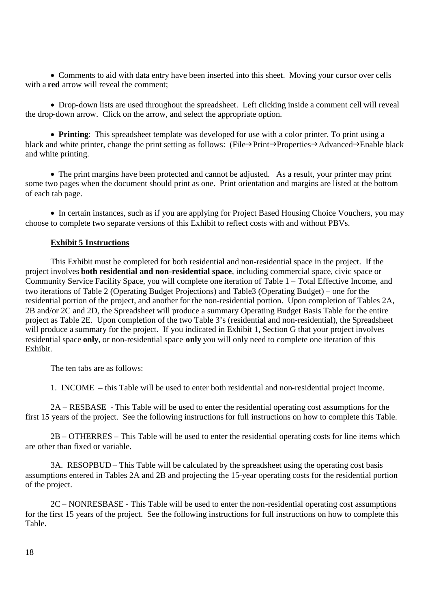Comments to aid with data entry have been inserted into this sheet. Moving your cursor over cells with a **red** arrow will reveal the comment:

• Drop-down lists are used throughout the spreadsheet. Left clicking inside a comment cell will reveal the drop-down arrow. Click on the arrow, and select the appropriate option.

**Printing**: This spreadsheet template was developed for use with a color printer. To print using a black and white printer, change the print setting as follows: (File $\rightarrow$ Print $\rightarrow$ Properties $\rightarrow$ Advanced $\rightarrow$ Enable black and white printing.

• The print margins have been protected and cannot be adjusted. As a result, your printer may print some two pages when the document should print as one. Print orientation and margins are listed at the bottom of each tab page.

• In certain instances, such as if you are applying for Project Based Housing Choice Vouchers, you may choose to complete two separate versions of this Exhibit to reflect costs with and without PBVs.

### **Exhibit 5 Instructions**

This Exhibit must be completed for both residential and non-residential space in the project. If the project involves **both residential and non-residential space**, including commercial space, civic space or Community Service Facility Space, you will complete one iteration of Table 1 – Total Effective Income, and two iterations of Table 2 (Operating Budget Projections) and Table3 (Operating Budget) – one for the residential portion of the project, and another for the non-residential portion. Upon completion of Tables 2A, 2B and/or 2C and 2D, the Spreadsheet will produce a summary Operating Budget Basis Table for the entire project as Table 2E. Upon completion of the two Table 3's (residential and non-residential), the Spreadsheet will produce a summary for the project. If you indicated in Exhibit 1, Section G that your project involves residential space **only**, or non-residential space **only** you will only need to complete one iteration of this Exhibit.

The ten tabs are as follows:

1. INCOME – this Table will be used to enter both residential and non-residential project income.

2A – RESBASE - This Table will be used to enter the residential operating cost assumptions for the first 15 years of the project. See the following instructions for full instructions on how to complete this Table.

2B – OTHERRES – This Table will be used to enter the residential operating costs for line items which are other than fixed or variable.

3A. RESOPBUD – This Table will be calculated by the spreadsheet using the operating cost basis assumptions entered in Tables 2A and 2B and projecting the 15-year operating costs for the residential portion of the project.

2C – NONRESBASE - This Table will be used to enter the non-residential operating cost assumptions for the first 15 years of the project. See the following instructions for full instructions on how to complete this Table.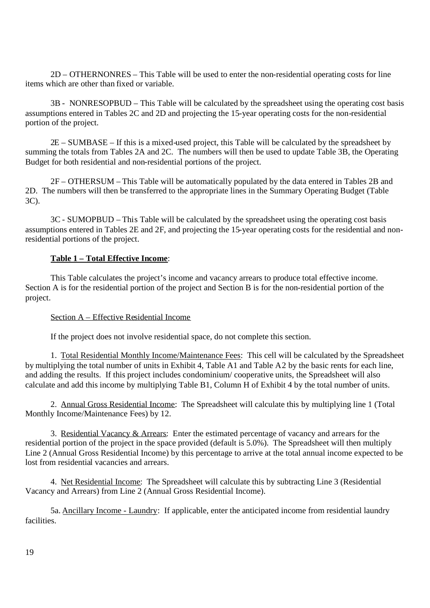2D – OTHERNONRES – This Table will be used to enter the non-residential operating costs for line items which are other than fixed or variable.

3B - NONRESOPBUD – This Table will be calculated by the spreadsheet using the operating cost basis assumptions entered in Tables 2C and 2D and projecting the 15-year operating costs for the non-residential portion of the project.

2E – SUMBASE – If this is a mixed-used project, this Table will be calculated by the spreadsheet by summing the totals from Tables 2A and 2C. The numbers will then be used to update Table 3B, the Operating Budget for both residential and non-residential portions of the project.

2F – OTHERSUM – This Table will be automatically populated by the data entered in Tables 2B and 2D. The numbers will then be transferred to the appropriate lines in the Summary Operating Budget (Table 3C).

3C - SUMOPBUD – This Table will be calculated by the spreadsheet using the operating cost basis assumptions entered in Tables 2E and 2F, and projecting the 15-year operating costs for the residential and nonresidential portions of the project.

# **Table 1 – Total Effective Income**:

This Table calculates the project's income and vacancy arrears to produce total effective income. Section A is for the residential portion of the project and Section B is for the non-residential portion of the project.

## Section A – Effective Residential Income

If the project does not involve residential space, do not complete this section.

1. Total Residential Monthly Income/Maintenance Fees: This cell will be calculated by the Spreadsheet by multiplying the total number of units in Exhibit 4, Table A1 and Table A2 by the basic rents for each line, and adding the results. If this project includes condominium/ cooperative units, the Spreadsheet will also calculate and add this income by multiplying Table B1, Column H of Exhibit 4 by the total number of units.

2. Annual Gross Residential Income: The Spreadsheet will calculate this by multiplying line 1 (Total Monthly Income/Maintenance Fees) by 12.

3. Residential Vacancy & Arrears: Enter the estimated percentage of vacancy and arrears for the residential portion of the project in the space provided (default is 5.0%). The Spreadsheet will then multiply Line 2 (Annual Gross Residential Income) by this percentage to arrive at the total annual income expected to be lost from residential vacancies and arrears.

4. Net Residential Income: The Spreadsheet will calculate this by subtracting Line 3 (Residential Vacancy and Arrears) from Line 2 (Annual Gross Residential Income).

5a. Ancillary Income - Laundry: If applicable, enter the anticipated income from residential laundry facilities.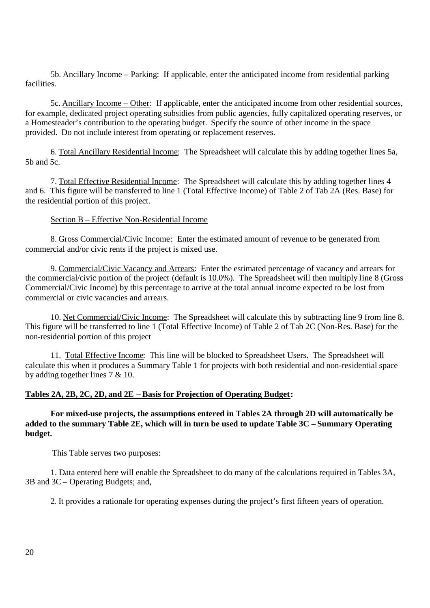5b. Ancillary Income – Parking: If applicable, enter the anticipated income from residential parking facilities.

5c. Ancillary Income – Other: If applicable, enter the anticipated income from other residential sources, for example, dedicated project operating subsidies from public agencies, fully capitalized operating reserves, or a Homesteader's contribution to the operating budget. Specify the source of other income in the space provided. Do not include interest from operating or replacement reserves.

6. Total Ancillary Residential Income: The Spreadsheet will calculate this by adding together lines 5a, 5b and 5c.

7. Total Effective Residential Income: The Spreadsheet will calculate this by adding together lines 4 and 6. This figure will be transferred to line 1 (Total Effective Income) of Table 2 of Tab 2A (Res. Base) for the residential portion of this project.

## Section B – Effective Non-Residential Income

8. Gross Commercial/Civic Income: Enter the estimated amount of revenue to be generated from commercial and/or civic rents if the project is mixed use.

9. Commercial/Civic Vacancy and Arrears: Enter the estimated percentage of vacancy and arrears for the commercial/civic portion of the project (default is 10.0%). The Spreadsheet will then multiply line 8 (Gross Commercial/Civic Income) by this percentage to arrive at the total annual income expected to be lost from commercial or civic vacancies and arrears.

10. Net Commercial/Civic Income: The Spreadsheet will calculate this by subtracting line 9 from line 8. This figure will be transferred to line 1 (Total Effective Income) of Table 2 of Tab 2C (Non-Res. Base) for the non-residential portion of this project

11. Total Effective Income: This line will be blocked to Spreadsheet Users. The Spreadsheet will calculate this when it produces a Summary Table 1 for projects with both residential and non-residential space by adding together lines 7 & 10.

### **Tables 2A, 2B, 2C, 2D, and 2E – Basis for Projection of Operating Budget:**

**For mixed-use projects, the assumptions entered in Tables 2A through 2D will automatically be added to the summary Table 2E, which will in turn be used to update Table 3C – Summary Operating budget.**

This Table serves two purposes:

1. Data entered here will enable the Spreadsheet to do many of the calculations required in Tables 3A, 3B and 3C – Operating Budgets; and,

2. It provides a rationale for operating expenses during the project's first fifteen years of operation.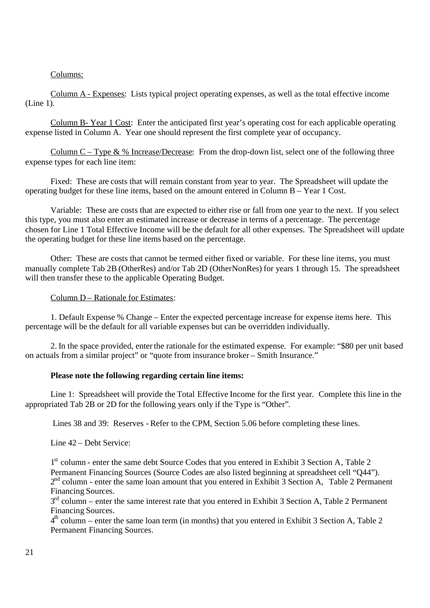## Columns:

Column A - Expenses: Lists typical project operating expenses, as well as the total effective income (Line 1).

Column B- Year 1 Cost: Enter the anticipated first year's operating cost for each applicable operating expense listed in Column A. Year one should represent the first complete year of occupancy.

Column C – Type  $\&$  % Increase/Decrease: From the drop-down list, select one of the following three expense types for each line item:

Fixed: These are costs that will remain constant from year to year. The Spreadsheet will update the operating budget for these line items, based on the amount entered in Column B – Year 1 Cost.

Variable: These are costs that are expected to either rise or fall from one year to the next. If you select this type, you must also enter an estimated increase or decrease in terms of a percentage. The percentage chosen for Line 1 Total Effective Income will be the default for all other expenses. The Spreadsheet will update the operating budget for these line items based on the percentage.

Other: These are costs that cannot be termed either fixed or variable. For these line items, you must manually complete Tab 2B (OtherRes) and/or Tab 2D (OtherNonRes) for years 1 through 15. The spreadsheet will then transfer these to the applicable Operating Budget.

## Column D – Rationale for Estimates:

1. Default Expense % Change – Enter the expected percentage increase for expense items here. This percentage will be the default for all variable expenses but can be overridden individually.

2. In the space provided, enter the rationale for the estimated expense. For example: "\$80 per unit based on actuals from a similar project" or "quote from insurance broker – Smith Insurance."

## **Please note the following regarding certain line items:**

Line 1: Spreadsheet will provide the Total Effective Income for the first year. Complete this line in the appropriated Tab 2B or 2D for the following years only if the Type is "Other".

Lines 38 and 39: Reserves - Refer to the CPM, Section 5.06 before completing these lines.

Line 42 – Debt Service:

1 st column - enter the same debt Source Codes that you entered in Exhibit 3 Section A, Table 2 Permanent Financing Sources (Source Codes are also listed beginning at spreadsheet cell "Q44"). 2<sup>nd</sup> column - enter the same loan amount that you entered in Exhibit 3 Section A, Table 2 Permanent Financing Sources.

 $3<sup>rd</sup>$  column – enter the same interest rate that you entered in Exhibit 3 Section A, Table 2 Permanent Financing Sources.

 $4<sup>th</sup>$  column – enter the same loan term (in months) that you entered in Exhibit 3 Section A, Table 2 Permanent Financing Sources.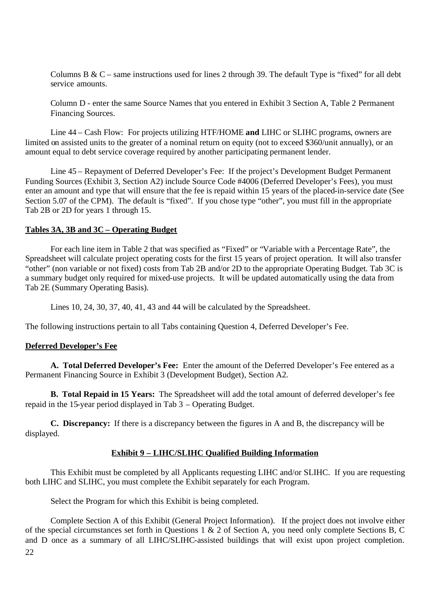Columns B &  $C$  – same instructions used for lines 2 through 39. The default Type is "fixed" for all debt service amounts.

Column D - enter the same Source Names that you entered in Exhibit 3 Section A, Table 2 Permanent Financing Sources.

Line 44 – Cash Flow: For projects utilizing HTF/HOME **and** LIHC or SLIHC programs, owners are limited on assisted units to the greater of a nominal return on equity (not to exceed \$360/unit annually), or an amount equal to debt service coverage required by another participating permanent lender.

Line 45 – Repayment of Deferred Developer's Fee: If the project's Development Budget Permanent Funding Sources (Exhibit 3, Section A2) include Source Code #4006 (Deferred Developer's Fees), you must enter an amount and type that will ensure that the fee is repaid within 15 years of the placed-in-service date (See Section 5.07 of the CPM). The default is "fixed". If you chose type "other", you must fill in the appropriate Tab 2B or 2D for years 1 through 15.

### **Tables 3A, 3B and 3C – Operating Budget**

For each line item in Table 2 that was specified as "Fixed" or "Variable with a Percentage Rate", the Spreadsheet will calculate project operating costs for the first 15 years of project operation. It will also transfer "other" (non variable or not fixed) costs from Tab 2B and/or 2D to the appropriate Operating Budget. Tab 3C is a summary budget only required for mixed-use projects. It will be updated automatically using the data from Tab 2E (Summary Operating Basis).

Lines 10, 24, 30, 37, 40, 41, 43 and 44 will be calculated by the Spreadsheet.

The following instructions pertain to all Tabs containing Question 4, Deferred Developer's Fee.

## **Deferred Developer's Fee**

**A. Total Deferred Developer's Fee:** Enter the amount of the Deferred Developer's Fee entered as a Permanent Financing Source in Exhibit 3 (Development Budget), Section A2.

**B. Total Repaid in 15 Years:** The Spreadsheet will add the total amount of deferred developer's fee repaid in the 15-year period displayed in Tab 3 – Operating Budget.

**C. Discrepancy:** If there is a discrepancy between the figures in A and B, the discrepancy will be displayed.

## **Exhibit 9 – LIHC/SLIHC Qualified Building Information**

This Exhibit must be completed by all Applicants requesting LIHC and/or SLIHC. If you are requesting both LIHC and SLIHC, you must complete the Exhibit separately for each Program.

Select the Program for which this Exhibit is being completed.

22 Complete Section A of this Exhibit (General Project Information). If the project does not involve either of the special circumstances set forth in Questions 1 & 2 of Section A, you need only complete Sections B, C and D once as a summary of all LIHC/SLIHC-assisted buildings that will exist upon project completion.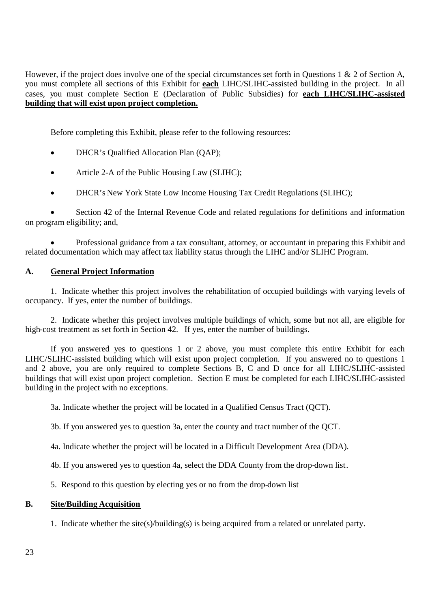However, if the project does involve one of the special circumstances set forth in Questions 1 & 2 of Section A, you must complete all sections of this Exhibit for **each** LIHC/SLIHC-assisted building in the project. In all cases, you must complete Section E (Declaration of Public Subsidies) for **each LIHC/SLIHC-assisted building that will exist upon project completion.**

Before completing this Exhibit, please refer to the following resources:

- DHCR's Qualified Allocation Plan (QAP);
- Article 2-A of the Public Housing Law (SLIHC);
- DHCR's New York State Low Income Housing Tax Credit Regulations (SLIHC);

 Section 42 of the Internal Revenue Code and related regulations for definitions and information on program eligibility; and,

 Professional guidance from a tax consultant, attorney, or accountant in preparing this Exhibit and related documentation which may affect tax liability status through the LIHC and/or SLIHC Program.

# **A. General Project Information**

1. Indicate whether this project involves the rehabilitation of occupied buildings with varying levels of occupancy. If yes, enter the number of buildings.

2. Indicate whether this project involves multiple buildings of which, some but not all, are eligible for high-cost treatment as set forth in Section 42. If yes, enter the number of buildings.

If you answered yes to questions 1 or 2 above, you must complete this entire Exhibit for each LIHC/SLIHC-assisted building which will exist upon project completion. If you answered no to questions 1 and 2 above, you are only required to complete Sections B, C and D once for all LIHC/SLIHC-assisted buildings that will exist upon project completion. Section E must be completed for each LIHC/SLIHC-assisted building in the project with no exceptions.

3a. Indicate whether the project will be located in a Qualified Census Tract (QCT).

3b. If you answered yes to question 3a, enter the county and tract number of the QCT.

4a. Indicate whether the project will be located in a Difficult Development Area (DDA).

4b. If you answered yes to question 4a, select the DDA County from the drop-down list.

5. Respond to this question by electing yes or no from the drop-down list

## **B. Site/Building Acquisition**

1. Indicate whether the site(s)/building(s) is being acquired from a related or unrelated party.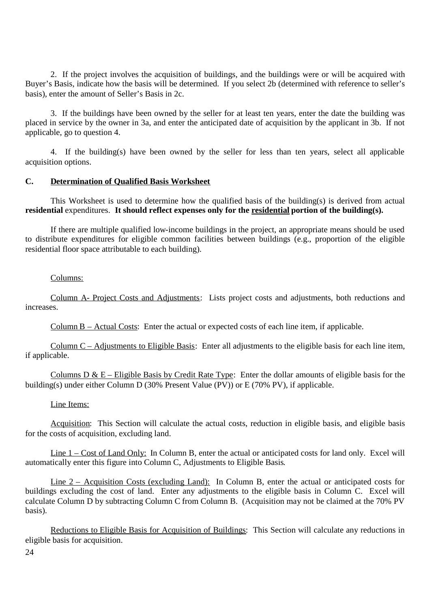2. If the project involves the acquisition of buildings, and the buildings were or will be acquired with Buyer's Basis, indicate how the basis will be determined. If you select 2b (determined with reference to seller's basis), enter the amount of Seller's Basis in 2c.

3. If the buildings have been owned by the seller for at least ten years, enter the date the building was placed in service by the owner in 3a, and enter the anticipated date of acquisition by the applicant in 3b. If not applicable, go to question 4.

4. If the building(s) have been owned by the seller for less than ten years, select all applicable acquisition options.

### **C. Determination of Qualified Basis Worksheet**

This Worksheet is used to determine how the qualified basis of the building(s) is derived from actual **residential** expenditures. **It should reflect expenses only for the residential portion of the building(s).**

If there are multiple qualified low-income buildings in the project, an appropriate means should be used to distribute expenditures for eligible common facilities between buildings (e.g., proportion of the eligible residential floor space attributable to each building).

### Columns:

Column A- Project Costs and Adjustments: Lists project costs and adjustments, both reductions and increases.

Column B – Actual Costs: Enter the actual or expected costs of each line item, if applicable.

Column C – Adjustments to Eligible Basis: Enter all adjustments to the eligible basis for each line item, if applicable.

Columns D  $& \text{E}$  – Eligible Basis by Credit Rate Type: Enter the dollar amounts of eligible basis for the building(s) under either Column D (30% Present Value (PV)) or E (70% PV), if applicable.

#### Line Items:

Acquisition: This Section will calculate the actual costs, reduction in eligible basis, and eligible basis for the costs of acquisition, excluding land.

Line 1 – Cost of Land Only: In Column B, enter the actual or anticipated costs for land only. Excel will automatically enter this figure into Column C, Adjustments to Eligible Basis.

Line 2 – Acquisition Costs (excluding Land): In Column B, enter the actual or anticipated costs for buildings excluding the cost of land. Enter any adjustments to the eligible basis in Column C. Excel will calculate Column D by subtracting Column C from Column B. (Acquisition may not be claimed at the 70% PV basis).

Reductions to Eligible Basis for Acquisition of Buildings: This Section will calculate any reductions in eligible basis for acquisition.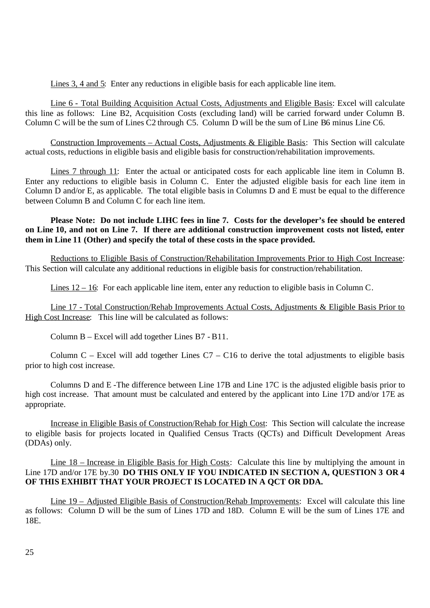Lines 3, 4 and 5: Enter any reductions in eligible basis for each applicable line item.

Line 6 - Total Building Acquisition Actual Costs, Adjustments and Eligible Basis: Excel will calculate this line as follows: Line B2, Acquisition Costs (excluding land) will be carried forward under Column B. Column C will be the sum of Lines C2 through C5. Column D will be the sum of Line B6 minus Line C6.

Construction Improvements – Actual Costs, Adjustments & Eligible Basis: This Section will calculate actual costs, reductions in eligible basis and eligible basis for construction/rehabilitation improvements.

Lines 7 through 11: Enter the actual or anticipated costs for each applicable line item in Column B. Enter any reductions to eligible basis in Column C. Enter the adjusted eligible basis for each line item in Column D and/or E, as applicable. The total eligible basis in Columns D and E must be equal to the difference between Column B and Column C for each line item.

## **Please Note: Do not include LIHC fees in line 7. Costs for the developer's fee should be entered on Line 10, and not on Line 7. If there are additional construction improvement costs not listed, enter them in Line 11 (Other) and specify the total of these costs in the space provided.**

Reductions to Eligible Basis of Construction/Rehabilitation Improvements Prior to High Cost Increase: This Section will calculate any additional reductions in eligible basis for construction/rehabilitation.

Lines 12 – 16: For each applicable line item, enter any reduction to eligible basis in Column C.

Line 17 - Total Construction/Rehab Improvements Actual Costs, Adjustments & Eligible Basis Prior to High Cost Increase: This line will be calculated as follows:

Column B – Excel will add together Lines B7 - B11.

Column C – Excel will add together Lines  $C7 - C16$  to derive the total adjustments to eligible basis prior to high cost increase.

Columns D and E -The difference between Line 17B and Line 17C is the adjusted eligible basis prior to high cost increase. That amount must be calculated and entered by the applicant into Line 17D and/or 17E as appropriate.

Increase in Eligible Basis of Construction/Rehab for High Cost: This Section will calculate the increase to eligible basis for projects located in Qualified Census Tracts (QCTs) and Difficult Development Areas (DDAs) only.

Line 18 – Increase in Eligible Basis for High Costs: Calculate this line by multiplying the amount in Line 17D and/or 17E by.30 **DO THIS ONLY IF YOU INDICATED IN SECTION A, QUESTION 3 OR 4 OF THIS EXHIBIT THAT YOUR PROJECT IS LOCATED IN A QCT OR DDA.**

Line 19 – Adjusted Eligible Basis of Construction/Rehab Improvements: Excel will calculate this line as follows: Column D will be the sum of Lines 17D and 18D. Column E will be the sum of Lines 17E and 18E.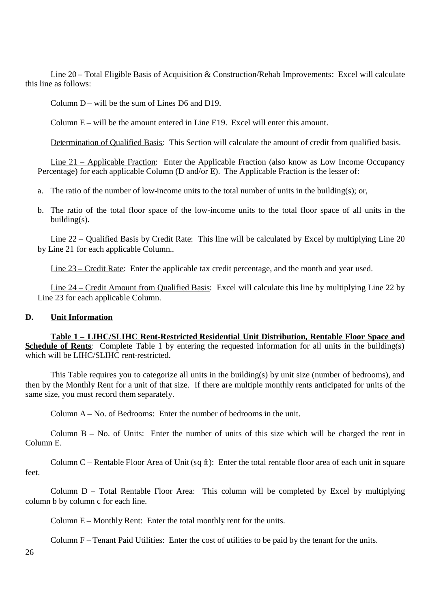Line 20 – Total Eligible Basis of Acquisition & Construction/Rehab Improvements: Excel will calculate this line as follows:

Column  $D$  – will be the sum of Lines D6 and D19.

Column E – will be the amount entered in Line E19. Excel will enter this amount.

Determination of Qualified Basis: This Section will calculate the amount of credit from qualified basis.

Line 21 – Applicable Fraction: Enter the Applicable Fraction (also know as Low Income Occupancy Percentage) for each applicable Column (D and/or E). The Applicable Fraction is the lesser of:

a. The ratio of the number of low-income units to the total number of units in the building(s); or,

b. The ratio of the total floor space of the low-income units to the total floor space of all units in the building(s).

Line 22 – Qualified Basis by Credit Rate: This line will be calculated by Excel by multiplying Line 20 by Line 21 for each applicable Column..

Line 23 – Credit Rate: Enter the applicable tax credit percentage, and the month and year used.

Line 24 – Credit Amount from Qualified Basis: Excel will calculate this line by multiplying Line 22 by Line 23 for each applicable Column.

#### **D. Unit Information**

**Table 1 – LIHC/SLIHC Rent-Restricted Residential Unit Distribution, Rentable Floor Space and Schedule of Rents**: Complete Table 1 by entering the requested information for all units in the building(s) which will be LIHC/SLIHC rent-restricted.

This Table requires you to categorize all units in the building(s) by unit size (number of bedrooms), and then by the Monthly Rent for a unit of that size. If there are multiple monthly rents anticipated for units of the same size, you must record them separately.

Column A – No. of Bedrooms: Enter the number of bedrooms in the unit.

Column  $B - No$  of Units: Enter the number of units of this size which will be charged the rent in Column E.

Column C – Rentable Floor Area of Unit (sq ft): Enter the total rentable floor area of each unit in square feet.

Column D – Total Rentable Floor Area: This column will be completed by Excel by multiplying column b by column c for each line.

Column E – Monthly Rent: Enter the total monthly rent for the units.

Column F – Tenant Paid Utilities: Enter the cost of utilities to be paid by the tenant for the units.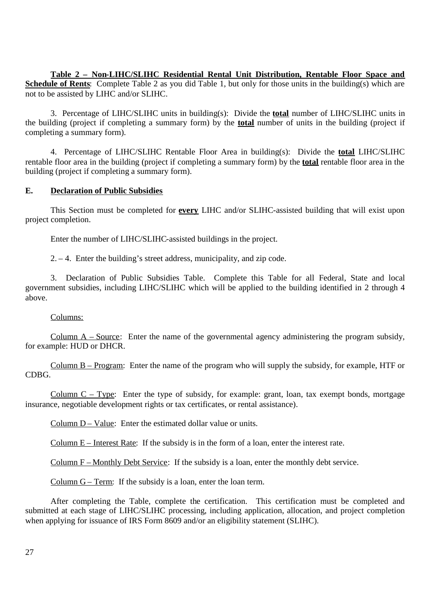**Table 2 – Non-LIHC/SLIHC Residential Rental Unit Distribution, Rentable Floor Space and Schedule of Rents**: Complete Table 2 as you did Table 1, but only for those units in the building(s) which are not to be assisted by LIHC and/or SLIHC.

3. Percentage of LIHC/SLIHC units in building(s): Divide the **total** number of LIHC/SLIHC units in the building (project if completing a summary form) by the **total** number of units in the building (project if completing a summary form).

4. Percentage of LIHC/SLIHC Rentable Floor Area in building(s): Divide the **total** LIHC/SLIHC rentable floor area in the building (project if completing a summary form) by the **total** rentable floor area in the building (project if completing a summary form).

## **E. Declaration of Public Subsidies**

This Section must be completed for **every** LIHC and/or SLIHC-assisted building that will exist upon project completion.

Enter the number of LIHC/SLIHC-assisted buildings in the project.

2. – 4. Enter the building's street address, municipality, and zip code.

3. Declaration of Public Subsidies Table. Complete this Table for all Federal, State and local government subsidies, including LIHC/SLIHC which will be applied to the building identified in 2 through 4 above.

## Columns:

Column A – Source: Enter the name of the governmental agency administering the program subsidy, for example: HUD or DHCR.

Column B – Program: Enter the name of the program who will supply the subsidy, for example, HTF or CDBG.

Column  $C - Type$ : Enter the type of subsidy, for example: grant, loan, tax exempt bonds, mortgage insurance, negotiable development rights or tax certificates, or rental assistance).

Column D – Value: Enter the estimated dollar value or units.

Column  $E$  – Interest Rate: If the subsidy is in the form of a loan, enter the interest rate.

Column F – Monthly Debt Service: If the subsidy is a loan, enter the monthly debt service.

Column G – Term: If the subsidy is a loan, enter the loan term.

After completing the Table, complete the certification. This certification must be completed and submitted at each stage of LIHC/SLIHC processing, including application, allocation, and project completion when applying for issuance of IRS Form 8609 and/or an eligibility statement (SLIHC).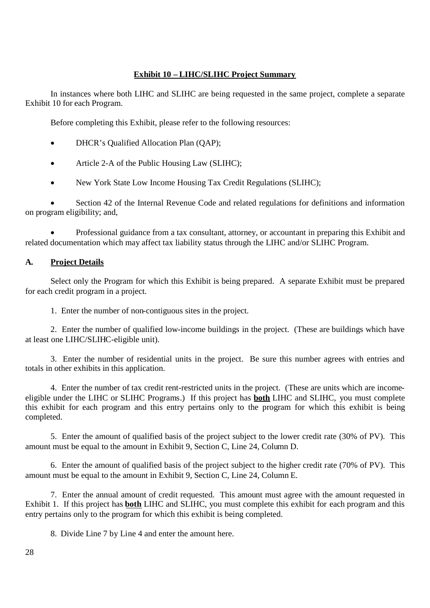# **Exhibit 10 – LIHC/SLIHC Project Summary**

In instances where both LIHC and SLIHC are being requested in the same project, complete a separate Exhibit 10 for each Program.

Before completing this Exhibit, please refer to the following resources:

- DHCR's Qualified Allocation Plan (QAP);
- Article 2-A of the Public Housing Law (SLIHC);
- New York State Low Income Housing Tax Credit Regulations (SLIHC);

 Section 42 of the Internal Revenue Code and related regulations for definitions and information on program eligibility; and,

 Professional guidance from a tax consultant, attorney, or accountant in preparing this Exhibit and related documentation which may affect tax liability status through the LIHC and/or SLIHC Program.

# **A. Project Details**

Select only the Program for which this Exhibit is being prepared. A separate Exhibit must be prepared for each credit program in a project.

1. Enter the number of non-contiguous sites in the project.

2. Enter the number of qualified low-income buildings in the project. (These are buildings which have at least one LIHC/SLIHC-eligible unit).

3. Enter the number of residential units in the project. Be sure this number agrees with entries and totals in other exhibits in this application.

4. Enter the number of tax credit rent-restricted units in the project. (These are units which are incomeeligible under the LIHC or SLIHC Programs.) If this project has **both** LIHC and SLIHC, you must complete this exhibit for each program and this entry pertains only to the program for which this exhibit is being completed.

5. Enter the amount of qualified basis of the project subject to the lower credit rate (30% of PV). This amount must be equal to the amount in Exhibit 9, Section C, Line 24, Column D.

6. Enter the amount of qualified basis of the project subject to the higher credit rate (70% of PV). This amount must be equal to the amount in Exhibit 9, Section C, Line 24, Column E.

7. Enter the annual amount of credit requested. This amount must agree with the amount requested in Exhibit 1. If this project has **both** LIHC and SLIHC, you must complete this exhibit for each program and this entry pertains only to the program for which this exhibit is being completed.

8. Divide Line 7 by Line 4 and enter the amount here.